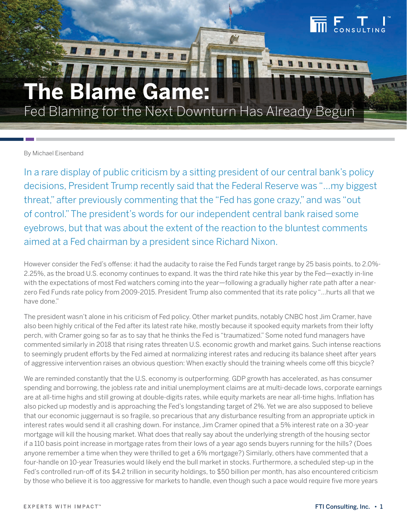# **The Blame Game:**

Fed Blaming for the Next Downturn Has Already Begun

By Michael Eisenband

In a rare display of public criticism by a sitting president of our central bank's policy decisions, President Trump recently said that the Federal Reserve was "…my biggest threat," after previously commenting that the "Fed has gone crazy," and was "out of control." The president's words for our independent central bank raised some eyebrows, but that was about the extent of the reaction to the bluntest comments aimed at a Fed chairman by a president since Richard Nixon.

However consider the Fed's offense: it had the audacity to raise the Fed Funds target range by 25 basis points, to 2.0%- 2.25%, as the broad U.S. economy continues to expand. It was the third rate hike this year by the Fed—exactly in-line with the expectations of most Fed watchers coming into the year—following a gradually higher rate path after a nearzero Fed Funds rate policy from 2009-2015. President Trump also commented that its rate policy "…hurts all that we have done."

The president wasn't alone in his criticism of Fed policy. Other market pundits, notably CNBC host Jim Cramer, have also been highly critical of the Fed after its latest rate hike, mostly because it spooked equity markets from their lofty perch, with Cramer going so far as to say that he thinks the Fed is "traumatized." Some noted fund managers have commented similarly in 2018 that rising rates threaten U.S. economic growth and market gains. Such intense reactions to seemingly prudent efforts by the Fed aimed at normalizing interest rates and reducing its balance sheet after years of aggressive intervention raises an obvious question: When exactly should the training wheels come off this bicycle?

We are reminded constantly that the U.S. economy is outperforming. GDP growth has accelerated, as has consumer spending and borrowing, the jobless rate and initial unemployment claims are at multi-decade lows, corporate earnings are at all-time highs and still growing at double-digits rates, while equity markets are near all-time highs. Inflation has also picked up modestly and is approaching the Fed's longstanding target of 2%. Yet we are also supposed to believe that our economic juggernaut is so fragile, so precarious that any disturbance resulting from an appropriate uptick in interest rates would send it all crashing down. For instance, Jim Cramer opined that a 5% interest rate on a 30-year mortgage will kill the housing market. What does that really say about the underlying strength of the housing sector if a 110 basis point increase in mortgage rates from their lows of a year ago sends buyers running for the hills? (Does anyone remember a time when they were thrilled to get a 6% mortgage?) Similarly, others have commented that a four-handle on 10-year Treasuries would likely end the bull market in stocks. Furthermore, a scheduled step-up in the Fed's controlled run-off of its \$4.2 trillion in security holdings, to \$50 billion per month, has also encountered criticism by those who believe it is too aggressive for markets to handle, even though such a pace would require five more years

 $\begin{array}{c} \blacksquare$   $\blacksquare$   $\blacksquare$   $\blacksquare$   $\blacksquare$   $\blacksquare$   $\blacksquare$   $\blacksquare$   $\blacksquare$   $\blacksquare$   $\blacksquare$   $\blacksquare$   $\blacksquare$   $\blacksquare$   $\blacksquare$   $\blacksquare$   $\blacksquare$   $\blacksquare$   $\blacksquare$   $\blacksquare$   $\blacksquare$   $\blacksquare$   $\blacksquare$   $\blacksquare$   $\blacksquare$   $\blacksquare$   $\blacksquare$   $\blacksquare$   $\blacksquare$   $\blacksquare$   $\blacks$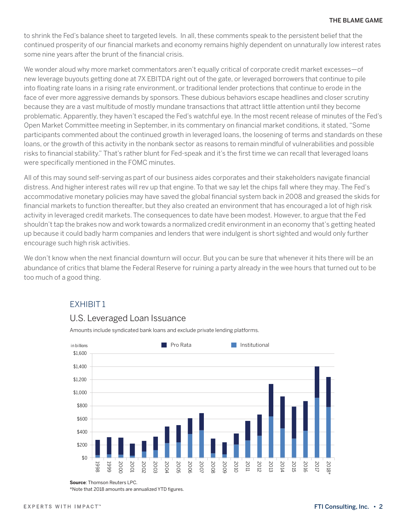to shrink the Fed's balance sheet to targeted levels. In all, these comments speak to the persistent belief that the continued prosperity of our financial markets and economy remains highly dependent on unnaturally low interest rates some nine years after the brunt of the financial crisis.

We wonder aloud why more market commentators aren't equally critical of corporate credit market excesses—of new leverage buyouts getting done at 7X EBITDA right out of the gate, or leveraged borrowers that continue to pile into floating rate loans in a rising rate environment, or traditional lender protections that continue to erode in the face of ever more aggressive demands by sponsors. These dubious behaviors escape headlines and closer scrutiny because they are a vast multitude of mostly mundane transactions that attract little attention until they become problematic. Apparently, they haven't escaped the Fed's watchful eye. In the most recent release of minutes of the Fed's Open Market Committee meeting in September, in its commentary on financial market conditions, it stated, "Some participants commented about the continued growth in leveraged loans, the loosening of terms and standards on these loans, or the growth of this activity in the nonbank sector as reasons to remain mindful of vulnerabilities and possible risks to financial stability." That's rather blunt for Fed-speak and it's the first time we can recall that leveraged loans were specifically mentioned in the FOMC minutes.

All of this may sound self-serving as part of our business aides corporates and their stakeholders navigate financial distress. And higher interest rates will rev up that engine. To that we say let the chips fall where they may. The Fed's accommodative monetary policies may have saved the global financial system back in 2008 and greased the skids for financial markets to function thereafter, but they also created an environment that has encouraged a lot of high risk activity in leveraged credit markets. The consequences to date have been modest. However, to argue that the Fed shouldn't tap the brakes now and work towards a normalized credit environment in an economy that's getting heated up because it could badly harm companies and lenders that were indulgent is short sighted and would only further encourage such high risk activities.

We don't know when the next financial downturn will occur. But you can be sure that whenever it hits there will be an abundance of critics that blame the Federal Reserve for ruining a party already in the wee hours that turned out to be too much of a good thing.



# EXHIBIT 1

## U.S. Leveraged Loan Issuance

Amounts include syndicated bank loans and exclude private lending platforms.

**Source**: Thomson Reuters LPC.

\*Note that 2018 amounts are annualized YTD figures.